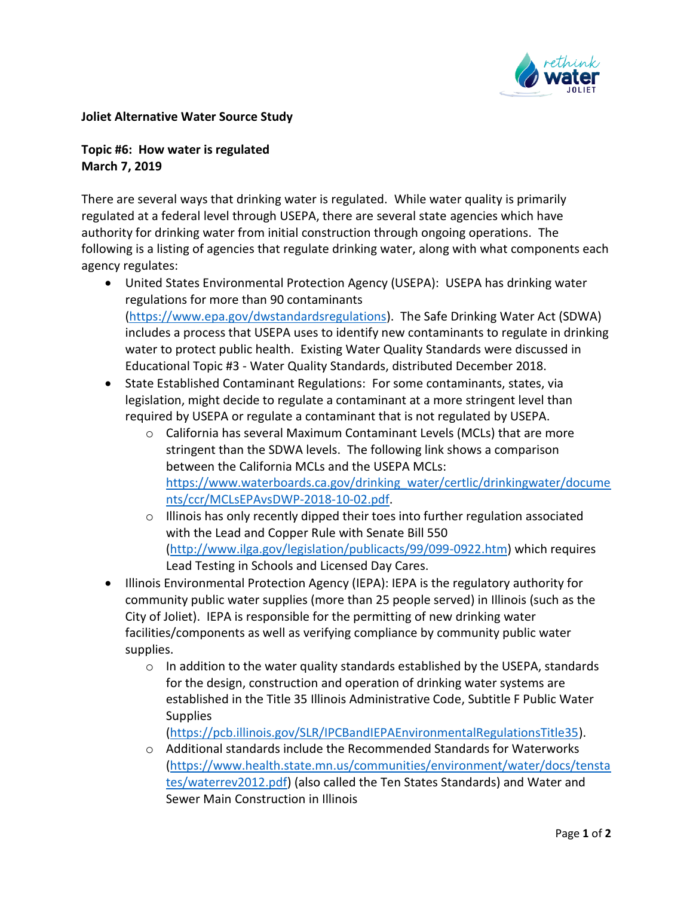

## **Joliet Alternative Water Source Study**

## **Topic #6: How water is regulated March 7, 2019**

There are several ways that drinking water is regulated. While water quality is primarily regulated at a federal level through USEPA, there are several state agencies which have authority for drinking water from initial construction through ongoing operations. The following is a listing of agencies that regulate drinking water, along with what components each agency regulates:

- United States Environmental Protection Agency (USEPA): USEPA has drinking water regulations for more than 90 contaminants [\(https://www.epa.gov/dwstandardsregulations\)](https://nam03.safelinks.protection.outlook.com/?url=https%3A%2F%2Fwww.epa.gov%2Fdwstandardsregulations&data=01%7C01%7Ctogrady%40cmtengr.com%7C527a0906848e48bde65c08d6a3164fb7%7Cb837cea6fc4a45b4bbd7c6d3b1216fdd%7C0&sdata=NZSiWkpp%2FGkRz175xg8rcBv51j%2FS%2FS6U9voMHfoJGrM%3D&reserved=0). The Safe Drinking Water Act (SDWA) includes a process that USEPA uses to identify new contaminants to regulate in drinking water to protect public health. Existing Water Quality Standards were discussed in Educational Topic #3 - Water Quality Standards, distributed December 2018.
- State Established Contaminant Regulations: For some contaminants, states, via legislation, might decide to regulate a contaminant at a more stringent level than required by USEPA or regulate a contaminant that is not regulated by USEPA.
	- o California has several Maximum Contaminant Levels (MCLs) that are more stringent than the SDWA levels. The following link shows a comparison between the California MCLs and the USEPA MCLs: [https://www.waterboards.ca.gov/drinking\\_water/certlic/drinkingwater/docume](https://nam03.safelinks.protection.outlook.com/?url=https%3A%2F%2Fwww.waterboards.ca.gov%2Fdrinking_water%2Fcertlic%2Fdrinkingwater%2Fdocuments%2Fccr%2FMCLsEPAvsDWP-2018-10-02.pdf&data=01%7C01%7Ctogrady%40cmtengr.com%7C527a0906848e48bde65c08d6a3164fb7%7Cb837cea6fc4a45b4bbd7c6d3b1216fdd%7C0&sdata=i3H8%2Fo%2FyB7IzjV9u1S%2B5%2BmXyVdI20K6TqM6AwI3cAj0%3D&reserved=0) [nts/ccr/MCLsEPAvsDWP-2018-10-02.pdf.](https://nam03.safelinks.protection.outlook.com/?url=https%3A%2F%2Fwww.waterboards.ca.gov%2Fdrinking_water%2Fcertlic%2Fdrinkingwater%2Fdocuments%2Fccr%2FMCLsEPAvsDWP-2018-10-02.pdf&data=01%7C01%7Ctogrady%40cmtengr.com%7C527a0906848e48bde65c08d6a3164fb7%7Cb837cea6fc4a45b4bbd7c6d3b1216fdd%7C0&sdata=i3H8%2Fo%2FyB7IzjV9u1S%2B5%2BmXyVdI20K6TqM6AwI3cAj0%3D&reserved=0)
	- o Illinois has only recently dipped their toes into further regulation associated with the Lead and Copper Rule with Senate Bill 550 [\(http://www.ilga.gov/legislation/publicacts/99/099-0922.htm\)](https://nam03.safelinks.protection.outlook.com/?url=http%3A%2F%2Fwww.ilga.gov%2Flegislation%2Fpublicacts%2F99%2F099-0922.htm&data=01%7C01%7Ctogrady%40cmtengr.com%7C527a0906848e48bde65c08d6a3164fb7%7Cb837cea6fc4a45b4bbd7c6d3b1216fdd%7C0&sdata=%2B3u1UtASNcNdzGxMSH5RzNdIZnMpxWEA%2BMTvg7B0Cbo%3D&reserved=0) which requires Lead Testing in Schools and Licensed Day Cares.
- Illinois Environmental Protection Agency (IEPA): IEPA is the regulatory authority for community public water supplies (more than 25 people served) in Illinois (such as the City of Joliet). IEPA is responsible for the permitting of new drinking water facilities/components as well as verifying compliance by community public water supplies.
	- $\circ$  In addition to the water quality standards established by the USEPA, standards for the design, construction and operation of drinking water systems are established in the Title 35 Illinois Administrative Code, Subtitle F Public Water **Supplies**

[\(https://pcb.illinois.gov/SLR/IPCBandIEPAEnvironmentalRegulationsTitle35\)](https://nam03.safelinks.protection.outlook.com/?url=https%3A%2F%2Fpcb.illinois.gov%2FSLR%2FIPCBandIEPAEnvironmentalRegulationsTitle35&data=01%7C01%7Ctogrady%40cmtengr.com%7C527a0906848e48bde65c08d6a3164fb7%7Cb837cea6fc4a45b4bbd7c6d3b1216fdd%7C0&sdata=zCdZORaKbO55lLLKs426Ybho4sbVvwPQO40znoXNENU%3D&reserved=0).

 $\circ$  Additional standards include the Recommended Standards for Waterworks [\(https://www.health.state.mn.us/communities/environment/water/docs/tensta](https://nam03.safelinks.protection.outlook.com/?url=https%3A%2F%2Fwww.health.state.mn.us%2Fcommunities%2Fenvironment%2Fwater%2Fdocs%2Ftenstates%2Fwaterrev2012.pdf&data=01%7C01%7Ctogrady%40cmtengr.com%7C527a0906848e48bde65c08d6a3164fb7%7Cb837cea6fc4a45b4bbd7c6d3b1216fdd%7C0&sdata=XRgtJy%2FoWejcPRXRZY3%2BFiB1o1rgw2lkF0iS01vb0iI%3D&reserved=0) [tes/waterrev2012.pdf\)](https://nam03.safelinks.protection.outlook.com/?url=https%3A%2F%2Fwww.health.state.mn.us%2Fcommunities%2Fenvironment%2Fwater%2Fdocs%2Ftenstates%2Fwaterrev2012.pdf&data=01%7C01%7Ctogrady%40cmtengr.com%7C527a0906848e48bde65c08d6a3164fb7%7Cb837cea6fc4a45b4bbd7c6d3b1216fdd%7C0&sdata=XRgtJy%2FoWejcPRXRZY3%2BFiB1o1rgw2lkF0iS01vb0iI%3D&reserved=0) (also called the Ten States Standards) and Water and Sewer Main Construction in Illinois